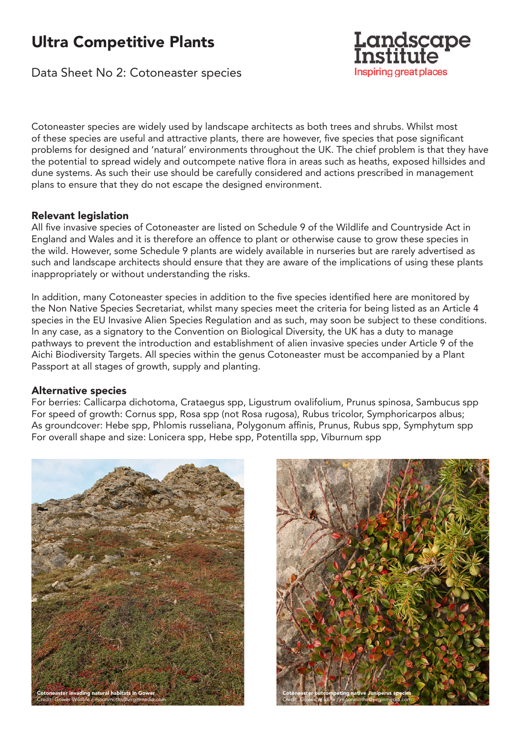# Ultra Competitive Plants

Data Sheet No 2: Cotoneaster species



Cotoneaster species are widely used by landscape architects as both trees and shrubs. Whilst most of these species are useful and attractive plants, there are however, five species that pose significant problems for designed and 'natural' environments throughout the UK. The chief problem is that they have the potential to spread widely and outcompete native flora in areas such as heaths, exposed hillsides and dune systems. As such their use should be carefully considered and actions prescribed in management plans to ensure that they do not escape the designed environment.

# Relevant legislation

All five invasive species of Cotoneaster are listed on Schedule 9 of the Wildlife and Countryside Act in England and Wales and it is therefore an offence to plant or otherwise cause to grow these species in the wild. However, some Schedule 9 plants are widely available in nurseries but are rarely advertised as such and landscape architects should ensure that they are aware of the implications of using these plants inappropriately or without understanding the risks.

In addition, many Cotoneaster species in addition to the five species identified here are monitored by the Non Native Species Secretariat, whilst many species meet the criteria for being listed as an Article 4 species in the EU Invasive Alien Species Regulation and as such, may soon be subject to these conditions. In any case, as a signatory to the Convention on Biological Diversity, the UK has a duty to manage pathways to prevent the introduction and establishment of alien invasive species under Article 9 of the Aichi Biodiversity Targets. All species within the genus Cotoneaster must be accompanied by a Plant Passport at all stages of growth, supply and planting.

# Alternative species

For berries: Callicarpa dichotoma, Crataegus spp, Ligustrum ovalifolium, Prunus spinosa, Sambucus spp For speed of growth: Cornus spp, Rosa spp (not Rosa rugosa), Rubus tricolor, Symphoricarpos albus; As groundcover: Hebe spp, Phlomis russeliana, Polygonum affinis, Prunus, Rubus spp, Symphytum spp For overall shape and size: Lonicera spp, Hebe spp, Potentilla spp, Viburnum spp